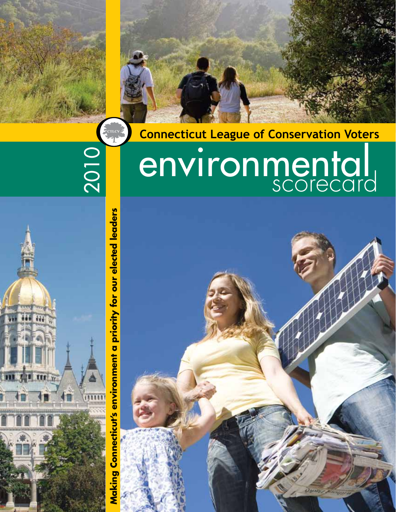**Connecticut League of Conservation Voters**

# E<sub>CTLCV</sub> 2010

environmental scorecard

Making Connecticut's environment a priority for our elected leaders **Making Connecticut's environment a priority for our elected leaders**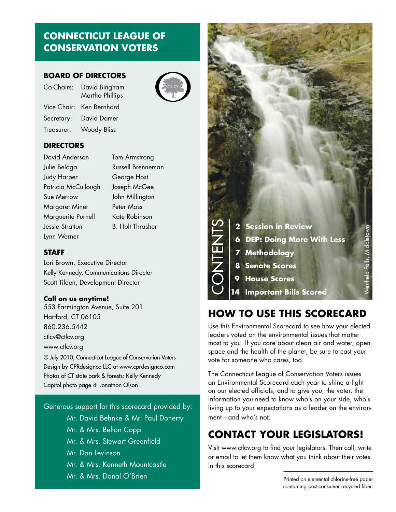### **CONNECTICUT LEAGUE OF CONSERVATION VOTERS**

#### **BOARD OF DIRECTORS**

| Co-Chairs:  | David Bingham<br>Martha Phillips |
|-------------|----------------------------------|
| Vice Chair: | Ken Bernhard                     |
| Secretary:  | <b>David Damer</b>               |
| Treasurer:  | <b>Woody Bliss</b>               |
|             |                                  |

#### **DIRECTORS**

David Anderson **Tom Armstrong** Julie Belaga Russell Brenneman Judy Harper **George Host** Patricia McCullough Joseph McGee Sue Merrow John Millington Margaret Miner Peter Moss Marguerite Purnell Kate Robinson Jessie Stratton B. Holt Thrasher Lynn Werner

#### **STAFF**

Lori Brown, Executive Director Kelly Kennedy, Communications Director Scott Tilden, Development Director

#### **Call on us anytime!**

553 Farmington Avenue, Suite 201 Hartford, CT 06105 860.236.5442 ctlcv@ctlcv.org www.ctlcv.org © July 2010, Connecticut League of Conservation Voters Design by CPRdesignco LLC at www.cprdesignco.com Photos of CT state park & forests: Kelly Kennedy

Capitol photo page 4: Jonathon Olson

Generous support for this scorecard provided by: Mr. David Behnke & Mr. Paul Doherty Mr. & Mrs. Belton Copp Mr. & Mrs. Stewart Greenfield Mr. Dan Levinson Mr. & Mrs. Kenneth Mountcastle Mr. & Mrs. Donal O'Brien



### **How To Use This Scorecard**

Use this Environmental Scorecard to see how your elected leaders voted on the environmental issues that matter most to you. If you care about clean air and water, open space and the health of the planet, be sure to cast your vote for someone who cares, too.

The Connecticut League of Conservation Voters issues an Environmental Scorecard each year to shine a light on our elected officials, and to give you, the voter, the information you need to know who's on your side, who's living up to your expectations as a leader on the environment—and who's not.

# **Contact your legislators!**

Visit www.ctlcv.org to find your legislators. Then call, write or email to let them know what you think about their votes in this scorecard.

> Printed on elemental chlorine-free paper containing post-consumer recycled fiber.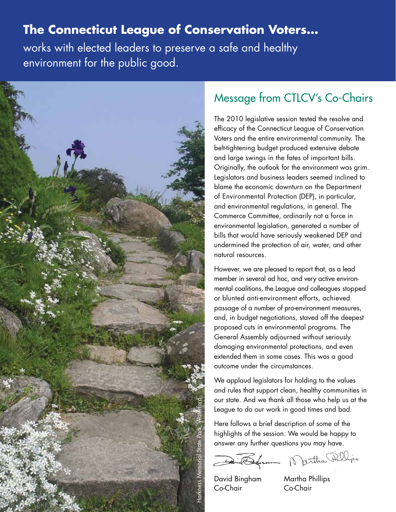# **The Connecticut League of Conservation Voters…**

works with elected leaders to preserve a safe and healthy environment for the public good.



# Message from CTLCV's Co-Chairs

The 2010 legislative session tested the resolve and efficacy of the Connecticut League of Conservation Voters and the entire environmental community. The belt-tightening budget produced extensive debate and large swings in the fates of important bills. Originally, the outlook for the environment was grim. Legislators and business leaders seemed inclined to blame the economic downturn on the Department of Environmental Protection (DEP), in particular, and environmental regulations, in general. The Commerce Committee, ordinarily not a force in environmental legislation, generated a number of bills that would have seriously weakened DEP and undermined the protection of air, water, and other natural resources.

However, we are pleased to report that, as a lead member in several ad hoc, and very active environmental coalitions, the League and colleagues stopped or blunted anti-environment efforts, achieved passage of a number of pro-environment measures, and, in budget negotiations, staved off the deepest proposed cuts in environmental programs. The General Assembly adjourned without seriously damaging environmental protections, and even extended them in some cases. This was a good outcome under the circumstances.

We applaud legislators for holding to the values and rules that support clean, healthy communities in our state. And we thank all those who help us at the League to do our work in good times and bad.

Here follows a brief description of some of the highlights of the session. We would be happy to answer any further questions you may have.

David Endrem Northa Fillips

David Bingham Martha Phillips Co-Chair Co-Chair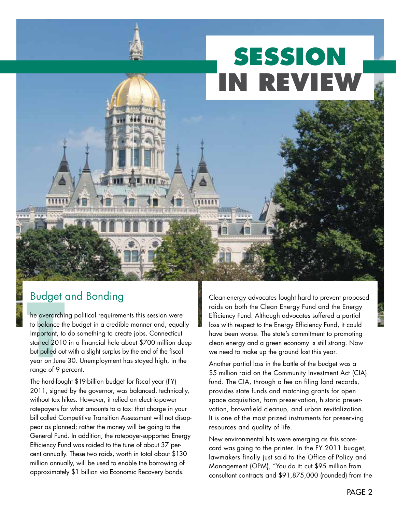# **SESSION IN REVIEW**

# Budget and Bonding

be overarchi<br>to balance the<br>important, to<br>started 2010<br>but pulled ou<br>year on June<br>range of 9 p he overarching political requirements this session were to balance the budget in a credible manner and, equally important, to do something to create jobs. Connecticut started 2010 in a financial hole about \$700 million deep but pulled out with a slight surplus by the end of the fiscal year on June 30. Unemployment has stayed high, in the range of 9 percent.

The hard-fought \$19-billion budget for fiscal year (FY) 2011, signed by the governor, was balanced, technically, without tax hikes. However, it relied on electric-power ratepayers for what amounts to a tax: that charge in your bill called Competitive Transition Assessment will not disappear as planned; rather the money will be going to the General Fund. In addition, the ratepayer-supported Energy Efficiency Fund was raided to the tune of about 37 percent annually. These two raids, worth in total about \$130 million annually, will be used to enable the borrowing of approximately \$1 billion via Economic Recovery bonds.

Clean-energy advocates fought hard to prevent proposed raids on both the Clean Energy Fund and the Energy Efficiency Fund. Although advocates suffered a partial loss with respect to the Energy Efficiency Fund, it could have been worse. The state's commitment to promoting clean energy and a green economy is still strong. Now we need to make up the ground lost this year.

Another partial loss in the battle of the budget was a \$5 million raid on the Community Investment Act (CIA) fund. The CIA, through a fee on filing land records, provides state funds and matching grants for open space acquisition, farm preservation, historic preservation, brownfield cleanup, and urban revitalization. It is one of the most prized instruments for preserving resources and quality of life.

New environmental hits were emerging as this scorecard was going to the printer. In the FY 2011 budget, lawmakers finally just said to the Office of Policy and Management (OPM), "You do it: cut \$95 million from consultant contracts and \$91,875,000 (rounded) from the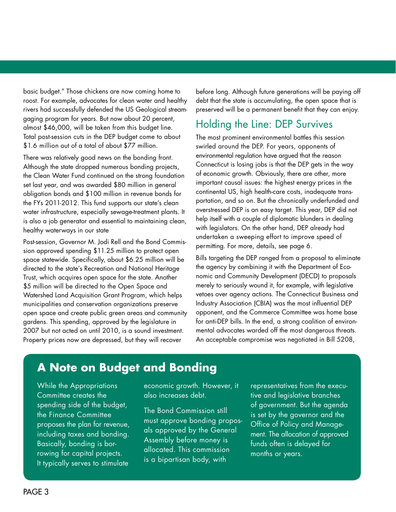basic budget." Those chickens are now coming home to roost. For example, advocates for clean water and healthy rivers had successfully defended the US Geological streamgaging program for years. But now about 20 percent, almost \$46,000, will be taken from this budget line. Total post-session cuts in the DEP budget come to about \$1.6 million out of a total of about \$77 million.

There was relatively good news on the bonding front. Although the state dropped numerous bonding projects, the Clean Water Fund continued on the strong foundation set last year, and was awarded \$80 million in general obligation bonds and \$100 million in revenue bonds for the FYs 2011-2012. This fund supports our state's clean water infrastructure, especially sewage-treatment plants. It is also a job generator and essential to maintaining clean, healthy waterways in our state

Post-session, Governor M. Jodi Rell and the Bond Commission approved spending \$11.25 million to protect open space statewide. Specifically, about \$6.25 million will be directed to the state's Recreation and National Heritage Trust, which acquires open space for the state. Another \$5 million will be directed to the Open Space and Watershed Land Acquisition Grant Program, which helps municipalities and conservation organizations preserve open space and create public green areas and community gardens. This spending, approved by the legislature in 2007 but not acted on until 2010, is a sound investment. Property prices now are depressed, but they will recover

before long. Although future generations will be paying off debt that the state is accumulating, the open space that is preserved will be a permanent benefit that they can enjoy.

### Holding the Line: DEP Survives

The most prominent environmental battles this session swirled around the DEP. For years, opponents of environmental regulation have argued that the reason Connecticut is losing jobs is that the DEP gets in the way of economic growth. Obviously, there are other, more important causal issues: the highest energy prices in the continental US, high health-care costs, inadequate transportation, and so on. But the chronically underfunded and overstressed DEP is an easy target. This year, DEP did not help itself with a couple of diplomatic blunders in dealing with legislators. On the other hand, DEP already had undertaken a sweeping effort to improve speed of permitting. For more, details, see page 6.

Bills targeting the DEP ranged from a proposal to eliminate the agency by combining it with the Department of Economic and Community Development (DECD) to proposals merely to seriously wound it, for example, with legislative vetoes over agency actions. The Connecticut Business and Industry Association (CBIA) was the most influential DEP opponent, and the Commerce Committee was home base for anti-DEP bills. In the end, a strong coalition of environmental advocates warded off the most dangerous threats. An acceptable compromise was negotiated in Bill 5208,

# **A Note on Budget and Bonding**

While the Appropriations Committee creates the spending side of the budget, the Finance Committee proposes the plan for revenue, including taxes and bonding. Basically, bonding is borrowing for capital projects. It typically serves to stimulate

economic growth. However, it also increases debt.

The Bond Commission still must approve bonding proposals approved by the General Assembly before money is allocated. This commission is a bipartisan body, with

representatives from the executive and legislative branches of government. But the agenda is set by the governor and the Office of Policy and Management. The allocation of approved funds often is delayed for months or years.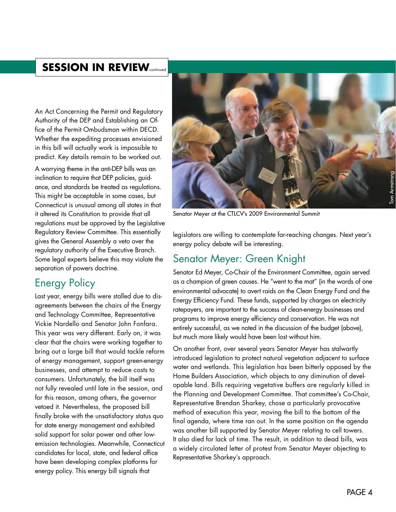### **SESSION IN REVIEW**

An Act Concerning the Permit and Regulatory Authority of the DEP and Establishing an Office of the Permit Ombudsman within DECD. Whether the expediting processes envisioned in this bill will actually work is impossible to predict. Key details remain to be worked out.

A worrying theme in the anti-DEP bills was an inclination to require that DEP policies, guidance, and standards be treated as regulations. This might be acceptable in some cases, but Connecticut is unusual among all states in that it altered its Constitution to provide that all regulations must be approved by the Legislative Regulatory Review Committee. This essentially gives the General Assembly a veto over the regulatory authority of the Executive Branch. Some legal experts believe this may violate the separation of powers doctrine.

### Energy Policy

Last year, energy bills were stalled due to disagreements between the chairs of the Energy and Technology Committee, Representative Vickie Nardello and Senator John Fonfara. This year was very different. Early on, it was clear that the chairs were working together to bring out a large bill that would tackle reform of energy management, support green-energy businesses, and attempt to reduce costs to consumers. Unfortunately, the bill itself was not fully revealed until late in the session, and for this reason, among others, the governor vetoed it. Nevertheless, the proposed bill finally broke with the unsatisfactory status quo for state energy management and exhibited solid support for solar power and other lowemission technologies. Meanwhile, Connecticut candidates for local, state, and federal office have been developing complex platforms for energy policy. This energy bill signals that



Senator Meyer at the CTLCV's 2009 Environmental Summit

legislators are willing to contemplate far-reaching changes. Next year's energy policy debate will be interesting.

### Senator Meyer: Green Knight

Senator Ed Meyer, Co-Chair of the Environment Committee, again served as a champion of green causes. He "went to the mat" (in the words of one environmental advocate) to avert raids on the Clean Energy Fund and the Energy Efficiency Fund. These funds, supported by charges on electricity ratepayers, are important to the success of clean-energy businesses and programs to improve energy efficiency and conservation. He was not entirely successful, as we noted in the discussion of the budget (above), but much more likely would have been lost without him.

On another front, over several years Senator Meyer has stalwartly introduced legislation to protect natural vegetation adjacent to surface water and wetlands. This legislation has been bitterly opposed by the Home Builders Association, which objects to any diminution of developable land. Bills requiring vegetative buffers are regularly killed in the Planning and Development Committee. That committee's Co-Chair, Representative Brendan Sharkey, chose a particularly provocative method of execution this year, moving the bill to the bottom of the final agenda, where time ran out. In the same position on the agenda was another bill supported by Senator Meyer relating to cell towers. It also died for lack of time. The result, in addition to dead bills, was a widely circulated letter of protest from Senator Meyer objecting to Representative Sharkey's approach.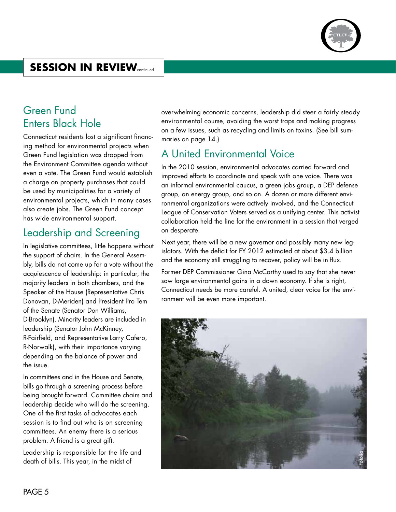

# **SESSION IN REVIEW**

### Green Fund Enters Black Hole

Connecticut residents lost a significant financing method for environmental projects when Green Fund legislation was dropped from the Environment Committee agenda without even a vote. The Green Fund would establish a charge on property purchases that could be used by municipalities for a variety of environmental projects, which in many cases also create jobs. The Green Fund concept has wide environmental support.

### Leadership and Screening

In legislative committees, little happens without the support of chairs. In the General Assembly, bills do not come up for a vote without the acquiescence of leadership: in particular, the majority leaders in both chambers, and the Speaker of the House (Representative Chris Donovan, D-Meriden) and President Pro Tem of the Senate (Senator Don Williams, D-Brooklyn). Minority leaders are included in leadership (Senator John McKinney, R-Fairfield, and Representative Larry Cafero, R-Norwalk), with their importance varying depending on the balance of power and the issue.

In committees and in the House and Senate, bills go through a screening process before being brought forward. Committee chairs and leadership decide who will do the screening. One of the first tasks of advocates each session is to find out who is on screening committees. An enemy there is a serious problem. A friend is a great gift.

Leadership is responsible for the life and death of bills. This year, in the midst of

overwhelming economic concerns, leadership did steer a fairly steady environmental course, avoiding the worst traps and making progress on a few issues, such as recycling and limits on toxins. (See bill summaries on page 14.)

### A United Environmental Voice

In the 2010 session, environmental advocates carried forward and improved efforts to coordinate and speak with one voice. There was an informal environmental caucus, a green jobs group, a DEP defense group, an energy group, and so on. A dozen or more different environmental organizations were actively involved, and the Connecticut League of Conservation Voters served as a unifying center. This activist collaboration held the line for the environment in a session that verged on desperate.

Next year, there will be a new governor and possibly many new legislators. With the deficit for FY 2012 estimated at about \$3.4 billion and the economy still struggling to recover, policy will be in flux.

Former DEP Commissioner Gina McCarthy used to say that she never saw large environmental gains in a down economy. If she is right, Connecticut needs be more careful. A united, clear voice for the environment will be even more important.

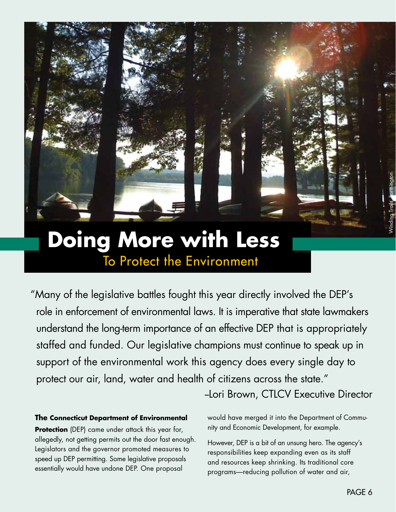

"Many of the legislative battles fought this year directly involved the DEP's role in enforcement of environmental laws. It is imperative that state lawmakers understand the long-term importance of an effective DEP that is appropriately staffed and funded. Our legislative champions must continue to speak up in support of the environmental work this agency does every single day to protect our air, land, water and health of citizens across the state."

-Lori Brown, CTLCV Executive Director

#### **The Connecticut Department of Environmental**

**Protection** (DEP) came under attack this year for, allegedly, not getting permits out the door fast enough. Legislators and the governor promoted measures to speed up DEP permitting. Some legislative proposals essentially would have undone DEP. One proposal

would have merged it into the Department of Community and Economic Development, for example.

However, DEP is a bit of an unsung hero. The agency's responsibilities keep expanding even as its staff and resources keep shrinking. Its traditional core programs—reducing pollution of water and air,

Winding Trails, Farmington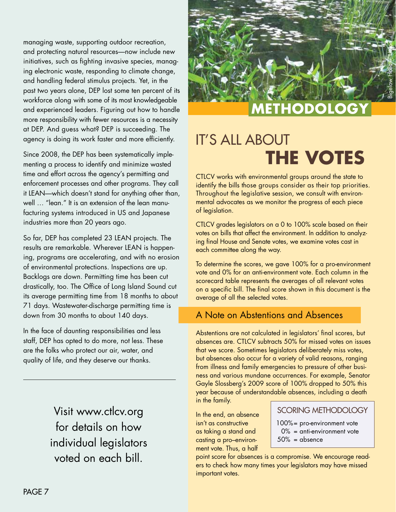managing waste, supporting outdoor recreation, and protecting natural resources—now include new initiatives, such as fighting invasive species, managing electronic waste, responding to climate change, and handling federal stimulus projects. Yet, in the past two years alone, DEP lost some ten percent of its workforce along with some of its most knowledgeable and experienced leaders. Figuring out how to handle more responsibility with fewer resources is a necessity at DEP. And guess what? DEP is succeeding. The agency is doing its work faster and more efficiently.

Since 2008, the DEP has been systematically implementing a process to identify and minimize wasted time and effort across the agency's permitting and enforcement processes and other programs. They call it LEAN—which doesn't stand for anything other than, well … "lean." It is an extension of the lean manufacturing systems introduced in US and Japanese industries more than 20 years ago.

So far, DEP has completed 23 LEAN projects. The results are remarkable. Wherever LEAN is happening, programs are accelerating, and with no erosion of environmental protections. Inspections are up. Backlogs are down. Permitting time has been cut drastically, too. The Office of Long Island Sound cut its average permitting time from 18 months to about 71 days. Wastewater-discharge permitting time is down from 30 months to about 140 days.

In the face of daunting responsibilities and less staff, DEP has opted to do more, not less. These are the folks who protect our air, water, and quality of life, and they deserve our thanks.

> Visit www.ctlcv.org for details on how individual legislators voted on each bill.



# **Methodology**

# **IT'S ALL ABOUT The Votes**

CTLCV works with environmental groups around the state to identify the bills those groups consider as their top priorities. Throughout the legislative session, we consult with environmental advocates as we monitor the progress of each piece of legislation.

CTLCV grades legislators on a 0 to 100% scale based on their votes on bills that affect the environment. In addition to analyzing final House and Senate votes, we examine votes cast in each committee along the way.

To determine the scores, we gave 100% for a pro-environment vote and 0% for an anti-environment vote. Each column in the scorecard table represents the averages of all relevant votes on a specific bill. The final score shown in this document is the average of all the selected votes.

### A Note on Abstentions and Absences

Abstentions are not calculated in legislators' final scores, but absences are. CTLCV subtracts 50% for missed votes on issues that we score. Sometimes legislators deliberately miss votes, but absences also occur for a variety of valid reasons, ranging from illness and family emergencies to pressure of other business and various mundane occurrences. For example, Senator Gayle Slossberg's 2009 score of 100% dropped to 50% this year because of understandable absences, including a death

in the family.

In the end, an absence isn't as constructive as taking a stand and casting a pro–environment vote. Thus, a half

#### SCORING METHODOLOGY

100% = pro-environment vote  $0\%$  = anti-environment vote  $50\%$  = absence

point score for absences is a compromise. We encourage readers to check how many times your legislators may have missed important votes.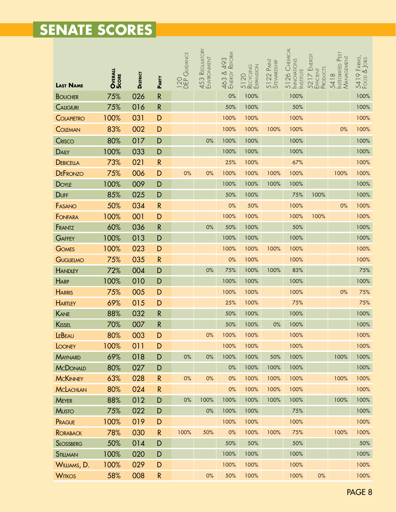# **Senate Scores**

|                  | <b>OVERALL</b><br><b>SCORE</b> | <b>DISTRICT</b> |              | 120<br>DEP GUIDANCE | 453 Reguatory<br>Environment | 463 & 493<br>Energy Reform | RECYCLING<br>Expansion<br>5120 | 5122 PAINT<br>STEWARDSHIP | 5126 CHEMICAL<br><b>INNOWITONS</b><br><b>INSTITUTE</b> | 5217 Energy<br>Efficient<br>Products | 5418<br>Integrated Pest<br>Management | 5419 Farms,<br>Food & Jobs |
|------------------|--------------------------------|-----------------|--------------|---------------------|------------------------------|----------------------------|--------------------------------|---------------------------|--------------------------------------------------------|--------------------------------------|---------------------------------------|----------------------------|
| <b>LAST NAME</b> |                                |                 | PARTY        |                     |                              |                            |                                |                           |                                                        |                                      |                                       |                            |
| <b>BOUCHER</b>   | 75%                            | 026             | ${\sf R}$    |                     |                              | 0%                         | 100%                           |                           | 100%                                                   |                                      |                                       | 100%                       |
| <b>CALIGIURI</b> | 75%                            | 016             | ${\sf R}$    |                     |                              | 50%                        | 100%                           |                           | 50%                                                    |                                      |                                       | 100%                       |
| COLAPIETRO       | 100%                           | 031             | D            |                     |                              | 100%                       | 100%                           |                           | 100%                                                   |                                      |                                       | 100%                       |
| <b>COLEMAN</b>   | 83%                            | 002             | D            |                     |                              | 100%                       | 100%                           | 100%                      | 100%                                                   |                                      | 0%                                    | 100%                       |
| <b>CRISCO</b>    | 80%                            | 017             | D            |                     | 0%                           | 100%                       | 100%                           |                           | 100%                                                   |                                      |                                       | 100%                       |
| <b>DAILY</b>     | 100%                           | 033             | D            |                     |                              | 100%                       | 100%                           |                           | 100%                                                   |                                      |                                       | 100%                       |
| <b>DEBICELLA</b> | 73%                            | 021             | ${\sf R}$    |                     |                              | 25%                        | 100%                           |                           | 67%                                                    |                                      |                                       | 100%                       |
| <b>DEFRONZO</b>  | 75%                            | 006             | D            | 0%                  | 0%                           | 100%                       | 100%                           | 100%                      | 100%                                                   |                                      | 100%                                  | 100%                       |
| <b>DOYLE</b>     | 100%                           | 009             | D            |                     |                              | 100%                       | 100%                           | 100%                      | 100%                                                   |                                      |                                       | 100%                       |
| <b>DUFF</b>      | 85%                            | 025             | D            |                     |                              | 50%                        | 100%                           |                           | 75%                                                    | 100%                                 |                                       | 100%                       |
| FASANO           | 50%                            | 034             | $\mathsf{R}$ |                     |                              | 0%                         | 50%                            |                           | 100%                                                   |                                      | 0%                                    | 100%                       |
| FONFARA          | 100%                           | 001             | D            |                     |                              | 100%                       | 100%                           |                           | 100%                                                   | 100%                                 |                                       | 100%                       |
| FRANTZ           | 60%                            | 036             | ${\sf R}$    |                     | $0\%$                        | 50%                        | 100%                           |                           | 50%                                                    |                                      |                                       | 100%                       |
| GAFFEY           | 100%                           | 013             | D            |                     |                              | 100%                       | 100%                           |                           | 100%                                                   |                                      |                                       | 100%                       |
| <b>GOMES</b>     | 100%                           | 023             | D            |                     |                              | 100%                       | 100%                           | 100%                      | 100%                                                   |                                      |                                       | 100%                       |
| GUGLIELMO        | 75%                            | 035             | $\mathsf{R}$ |                     |                              | 0%                         | 100%                           |                           | 100%                                                   |                                      |                                       | 100%                       |
| <b>HANDLEY</b>   | 72%                            | 004             | D            |                     | 0%                           | 75%                        | 100%                           | 100%                      | 83%                                                    |                                      |                                       | 75%                        |
| <b>HARP</b>      | 100%                           | 010             | D            |                     |                              | 100%                       | 100%                           |                           | 100%                                                   |                                      |                                       | 100%                       |
| <b>HARRIS</b>    | 75%                            | 005             | D            |                     |                              | 100%                       | 100%                           |                           | 100%                                                   |                                      | 0%                                    | 75%                        |
| <b>HARTLEY</b>   | 69%                            | 015             | D            |                     |                              | 25%                        | 100%                           |                           | 75%                                                    |                                      |                                       | 75%                        |
| KANE             | 88%                            | 032             | ${\sf R}$    |                     |                              | 50%                        | 100%                           |                           | 100%                                                   |                                      |                                       | 100%                       |
| KISSEL           | 70%                            | 007             | ${\sf R}$    |                     |                              | 50%                        | 100%                           | 0%                        | 100%                                                   |                                      |                                       | 100%                       |
| LEBEAU           | 80%                            | 003             | D            |                     | 0%                           | 100%                       | 100%                           |                           | 100%                                                   |                                      |                                       | 100%                       |
| LOONEY           | 100%                           | 011             | D            |                     |                              | 100%                       | 100%                           |                           | 100%                                                   |                                      |                                       | 100%                       |
| <b>MAYNARD</b>   | 69%                            | 018             | D            | $0\%$               | $0\%$                        | 100%                       | 100%                           | 50%                       | 100%                                                   |                                      | 100%                                  | 100%                       |
| <b>MCDONALD</b>  | 80%                            | 027             | D            |                     |                              | $0\%$                      | 100%                           | 100%                      | 100%                                                   |                                      |                                       | 100%                       |
| <b>MCKINNEY</b>  | 63%                            | 028             | $\mathsf{R}$ | $0\%$               | 0%                           | 0%                         | 100%                           | 100%                      | 100%                                                   |                                      | 100%                                  | 100%                       |
| <b>MCLACHLAN</b> | 80%                            | 024             | $\mathsf{R}$ |                     |                              | $0\%$                      | 100%                           | 100%                      | 100%                                                   |                                      |                                       | 100%                       |
| <b>MEYER</b>     | 88%                            | 012             | D            | $0\%$               | 100%                         | 100%                       | 100%                           | 100%                      | 100%                                                   |                                      | 100%                                  | 100%                       |
| <b>MUSTO</b>     | 75%                            | 022             | D            |                     | $0\%$                        | 100%                       | 100%                           |                           | 75%                                                    |                                      |                                       | 100%                       |
| PRAGUE           | 100%                           | 019             | D            |                     |                              | 100%                       | 100%                           |                           | 100%                                                   |                                      |                                       | 100%                       |
| <b>RORABACK</b>  | 78%                            | 030             | $\mathsf{R}$ | 100%                | 50%                          | 0%                         | 100%                           | 100%                      | 75%                                                    |                                      | 100%                                  | 100%                       |
| <b>SLOSSBERG</b> | 50%                            | 014             | D            |                     |                              | 50%                        | 50%                            |                           | 50%                                                    |                                      |                                       | 50%                        |
| STILLMAN         | 100%                           | 020             | D            |                     |                              | 100%                       | 100%                           |                           | 100%                                                   |                                      |                                       | 100%                       |
| WILLIAMS, D.     | 100%                           | 029             | D            |                     |                              | 100%                       | 100%                           |                           | 100%                                                   |                                      |                                       | 100%                       |
| <b>WITKOS</b>    | 58%                            | 008             | $\mathsf{R}$ |                     | $0\%$                        | 50%                        | 100%                           |                           | 100%                                                   | $0\%$                                |                                       | 100%                       |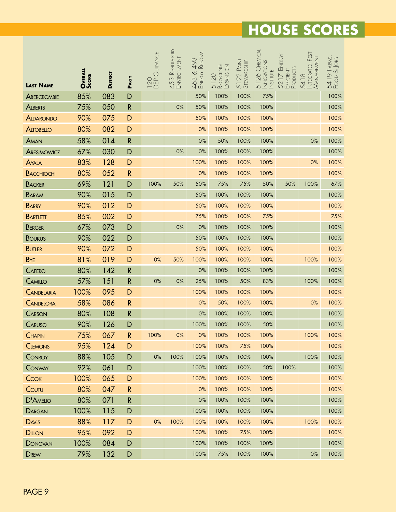|                   | <b>OVERALL</b><br><b>SCORE</b> |                 |              | 120<br>DEP GUIDANCE | 453 Regulatory<br>Environment | REFORM<br>493<br>463 & . | RECYCLING<br>Expansion | 5122 PAINT<br>STEWARDSHIP | 5126 CHEMICAL<br>NNOVATIONS<br><b>INSTITUTE</b> | 5217 Energy<br>Efficient<br>Products | Integrated Pest<br>Management<br>$\frac{\infty}{\infty}$ | 5419 Farms,<br>Food & Jobs |
|-------------------|--------------------------------|-----------------|--------------|---------------------|-------------------------------|--------------------------|------------------------|---------------------------|-------------------------------------------------|--------------------------------------|----------------------------------------------------------|----------------------------|
| <b>LAST NAME</b>  |                                | <b>DISTRICT</b> | PARTY        |                     |                               |                          | 5120                   |                           |                                                 |                                      | 541                                                      |                            |
| ABERCROMBIE       | 85%                            | 083             | D            |                     |                               | 50%                      | 100%                   | 100%                      | 75%                                             |                                      |                                                          | 100%                       |
| <b>ALBERTS</b>    | 75%                            | 050             | ${\sf R}$    |                     | 0%                            | 50%                      | 100%                   | 100%                      | 100%                                            |                                      |                                                          | 100%                       |
| <b>ALDARONDO</b>  | 90%                            | 075             | D            |                     |                               | 50%                      | 100%                   | 100%                      | 100%                                            |                                      |                                                          | 100%                       |
| <b>ALTOBELLO</b>  | 80%                            | 082             | D            |                     |                               | 0%                       | 100%                   | 100%                      | 100%                                            |                                      |                                                          | 100%                       |
| AMAN              | 58%                            | 014             | $\mathsf{R}$ |                     |                               | 0%                       | 50%                    | 100%                      | 100%                                            |                                      | $0\%$                                                    | 100%                       |
| ARESIMOWICZ       | 67%                            | 030             | D            |                     | $0\%$                         | 0%                       | 100%                   | 100%                      | 100%                                            |                                      |                                                          | 100%                       |
| <b>AYALA</b>      | 83%                            | 128             | D            |                     |                               | 100%                     | 100%                   | 100%                      | 100%                                            |                                      | 0%                                                       | 100%                       |
| <b>BACCHIOCHI</b> | 80%                            | 052             | $\mathsf{R}$ |                     |                               | 0%                       | 100%                   | 100%                      | 100%                                            |                                      |                                                          | 100%                       |
| <b>BACKER</b>     | 69%                            | 121             | D            | 100%                | 50%                           | 50%                      | 75%                    | 75%                       | 50%                                             | 50%                                  | 100%                                                     | 67%                        |
| <b>BARAM</b>      | 90%                            | 015             | D            |                     |                               | 50%                      | 100%                   | 100%                      | 100%                                            |                                      |                                                          | 100%                       |
| <b>BARRY</b>      | 90%                            | 012             | D            |                     |                               | 50%                      | 100%                   | 100%                      | 100%                                            |                                      |                                                          | 100%                       |
| <b>BARTLETT</b>   | 85%                            | 002             | D            |                     |                               | 75%                      | 100%                   | 100%                      | 75%                                             |                                      |                                                          | 75%                        |
| <b>BERGER</b>     | 67%                            | 073             | D            |                     | $0\%$                         | $0\%$                    | 100%                   | 100%                      | 100%                                            |                                      |                                                          | 100%                       |
| <b>BOUKUS</b>     | 90%                            | 022             | D            |                     |                               | 50%                      | 100%                   | 100%                      | 100%                                            |                                      |                                                          | 100%                       |
| <b>BUTLER</b>     | 90%                            | 072             | D            |                     |                               | 50%                      | 100%                   | 100%                      | 100%                                            |                                      |                                                          | 100%                       |
| <b>B</b> YE       | 81%                            | 019             | D            | 0%                  | 50%                           | 100%                     | 100%                   | 100%                      | 100%                                            |                                      | 100%                                                     | 100%                       |
| <b>CAFERO</b>     | 80%                            | 142             | $\mathsf{R}$ |                     |                               | $0\%$                    | 100%                   | 100%                      | 100%                                            |                                      |                                                          | 100%                       |
| CAMILLO           | 57%                            | 151             | $\mathsf{R}$ | 0%                  | $0\%$                         | 25%                      | 100%                   | 50%                       | 83%                                             |                                      | 100%                                                     | 100%                       |
| CANDELARIA        | 100%                           | 095             | D            |                     |                               | 100%                     | 100%                   | 100%                      | 100%                                            |                                      |                                                          | 100%                       |
| <b>CANDELORA</b>  | 58%                            | 086             | $\mathsf{R}$ |                     |                               | 0%                       | 50%                    | 100%                      | 100%                                            |                                      | 0%                                                       | 100%                       |
| CARSON            | 80%                            | 108             | $\mathsf{R}$ |                     |                               | 0%                       | 100%                   | 100%                      | 100%                                            |                                      |                                                          | 100%                       |
| CARUSO            | 90%                            | 126             | D            |                     |                               | 100%                     | 100%                   | 100%                      | 50%                                             |                                      |                                                          | 100%                       |
| <b>CHAPIN</b>     | 75%                            | 067             | $\mathsf{R}$ | 100%                | 0%                            | 0%                       | 100%                   | 100%                      | 100%                                            |                                      | 100%                                                     | 100%                       |
| <b>CLEMONS</b>    | 95%                            | 124             | D            |                     |                               | 100%                     | 100%                   | 75%                       | 100%                                            |                                      |                                                          | 100%                       |
| CONROY            | 88%                            | 105             | D            | $0\%$               | 100%                          | 100%                     | 100%                   | 100%                      | 100%                                            |                                      | 100%                                                     | 100%                       |
| CONWAY            | 92%                            | 061             | D            |                     |                               | 100%                     | 100%                   | 100%                      | 50%                                             | 100%                                 |                                                          | 100%                       |
| COOK              | 100%                           | 065             | D            |                     |                               | 100%                     | 100%                   | 100%                      | 100%                                            |                                      |                                                          | 100%                       |
| COUTU             | 80%                            | 047             | $\mathsf{R}$ |                     |                               | 0%                       | 100%                   | 100%                      | 100%                                            |                                      |                                                          | 100%                       |
| D'AMELIO          | 80%                            | 071             | $\mathsf{R}$ |                     |                               | $0\%$                    | 100%                   | 100%                      | 100%                                            |                                      |                                                          | 100%                       |
| DARGAN            | 100%                           | 115             | D            |                     |                               | 100%                     | 100%                   | 100%                      | 100%                                            |                                      |                                                          | 100%                       |
| <b>DAVIS</b>      | 88%                            | 117             | D            | 0%                  | 100%                          | 100%                     | 100%                   | 100%                      | 100%                                            |                                      | 100%                                                     | 100%                       |
| <b>DILLON</b>     | 95%                            | 092             | D            |                     |                               | 100%                     | 100%                   | 75%                       | 100%                                            |                                      |                                                          | 100%                       |
| <b>DONOVAN</b>    | 100%                           | 084             | D            |                     |                               | 100%                     | 100%                   | 100%                      | 100%                                            |                                      |                                                          | 100%                       |
| <b>DREW</b>       | 79%                            | 132             | D            |                     |                               | 100%                     | 75%                    | 100%                      | 100%                                            |                                      | $0\%$                                                    | 100%                       |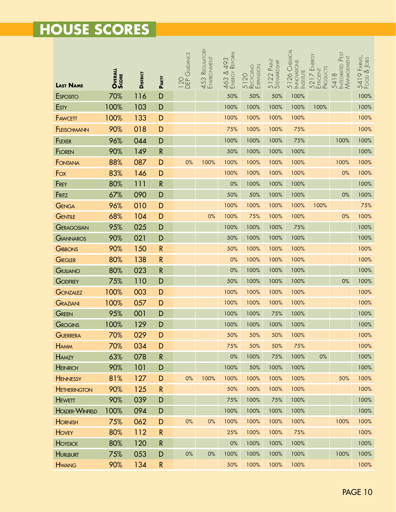|                        | <b>OVERALL</b><br><b>SCORE</b> |                 |              | GUIDANCE   | 453 Reguatory<br>Environment | 493<br>Reform<br>463 & | RECYCLING<br>Expansion | 5122 PAINT<br>STEWARDSHIP | 5126 CHEMICAL<br><b>INNOVATIONS</b><br><b>INSTITUTE</b> | ENERGY<br>5217 Eni<br>Efficient<br>Products | INTEGRATED PEST<br>MANAGEMENT | 5419 Farms,<br>Food & Jobs |
|------------------------|--------------------------------|-----------------|--------------|------------|------------------------------|------------------------|------------------------|---------------------------|---------------------------------------------------------|---------------------------------------------|-------------------------------|----------------------------|
| <b>LAST NAME</b>       |                                | <b>DISTRICT</b> | PARTY        | 120<br>DEP |                              |                        | 5120                   |                           |                                                         |                                             | 5418                          |                            |
| <b>ESPOSITO</b>        | 70%                            | 116             | D            |            |                              | 50%                    | 50%                    | 50%                       | 100%                                                    |                                             |                               | 100%                       |
| <b>ESTY</b>            | 100%                           | 103             | D            |            |                              | 100%                   | 100%                   | 100%                      | 100%                                                    | 100%                                        |                               | 100%                       |
| <b>FAWCETT</b>         | 100%                           | 133             | D            |            |                              | 100%                   | 100%                   | 100%                      | 100%                                                    |                                             |                               | 100%                       |
| <b>FLEISCHMANN</b>     | 90%                            | 018             | D            |            |                              | 75%                    | 100%                   | 100%                      | 75%                                                     |                                             |                               | 100%                       |
| <b>FLEXER</b>          | 96%                            | 044             | D            |            |                              | 100%                   | 100%                   | 100%                      | 75%                                                     |                                             | 100%                          | 100%                       |
| <b>FLOREN</b>          | 90%                            | 149             | $\mathsf{R}$ |            |                              | 50%                    | 100%                   | 100%                      | 100%                                                    |                                             |                               | 100%                       |
| FONTANA                | 88%                            | 087             | D            | 0%         | 100%                         | 100%                   | 100%                   | 100%                      | 100%                                                    |                                             | 100%                          | 100%                       |
| Fox                    | 83%                            | 146             | D            |            |                              | 100%                   | 100%                   | 100%                      | 100%                                                    |                                             | 0%                            | 100%                       |
| FREY                   | 80%                            | 111             | ${\sf R}$    |            |                              | 0%                     | 100%                   | 100%                      | 100%                                                    |                                             |                               | 100%                       |
| FRITZ                  | 67%                            | 090             | D            |            |                              | 50%                    | 50%                    | 100%                      | 100%                                                    |                                             | 0%                            | 100%                       |
| <b>GENGA</b>           | 96%                            | 010             | D            |            |                              | 100%                   | 100%                   | 100%                      | 100%                                                    | 100%                                        |                               | 75%                        |
| GENTILE                | 68%                            | 104             | D            |            | 0%                           | 100%                   | 75%                    | 100%                      | 100%                                                    |                                             | 0%                            | 100%                       |
| GERAGOSIAN             | 95%                            | 025             | D            |            |                              | 100%                   | 100%                   | 100%                      | 75%                                                     |                                             |                               | 100%                       |
| GIANNAROS              | 90%                            | 021             | D            |            |                              | 50%                    | 100%                   | 100%                      | 100%                                                    |                                             |                               | 100%                       |
| <b>GIBBONS</b>         | 90%                            | 150             | $\mathsf{R}$ |            |                              | 50%                    | 100%                   | 100%                      | 100%                                                    |                                             |                               | 100%                       |
| <b>GIEGLER</b>         | 80%                            | 138             | ${\sf R}$    |            |                              | 0%                     | 100%                   | 100%                      | 100%                                                    |                                             |                               | 100%                       |
| GIULIANO               | 80%                            | 023             | $\mathsf{R}$ |            |                              | 0%                     | 100%                   | 100%                      | 100%                                                    |                                             |                               | 100%                       |
| <b>GODFREY</b>         | 75%                            | 110             | D            |            |                              | 50%                    | 100%                   | 100%                      | 100%                                                    |                                             | $0\%$                         | 100%                       |
| <b>GONZALEZ</b>        | 100%                           | 003             | D            |            |                              | 100%                   | 100%                   | 100%                      | 100%                                                    |                                             |                               | 100%                       |
| GRAZIANI               | 100%                           | 057             | D            |            |                              | 100%                   | 100%                   | 100%                      | 100%                                                    |                                             |                               | 100%                       |
| GREEN                  | 95%                            | 001             | D            |            |                              | 100%                   | 100%                   | 75%                       | 100%                                                    |                                             |                               | 100%                       |
| GROGINS                | 100%                           | 129             | D            |            |                              | 100%                   | 100%                   | 100%                      | 100%                                                    |                                             |                               | 100%                       |
| GUERRERA               | 70%                            | 029             | D            |            |                              | 50%                    | 50%                    | 50%                       | 100%                                                    |                                             |                               | 100%                       |
| <b>HAMM</b>            | 70%                            | 034             | D            |            |                              | 75%                    | 50%                    | 50%                       | 75%                                                     |                                             |                               | 100%                       |
| <b>HAMZY</b>           | 63%                            | 078             | $\mathsf{R}$ |            |                              | $0\%$                  | 100%                   | 75%                       | 100%                                                    | $0\%$                                       |                               | 100%                       |
| <b>HEINRICH</b>        | 90%                            | 101             | D            |            |                              | 100%                   | 50%                    | 100%                      | 100%                                                    |                                             |                               | 100%                       |
| <b>HENNESSY</b>        | 81%                            | 127             | D            | $0\%$      | 100%                         | 100%                   | 100%                   | 100%                      | 100%                                                    |                                             | 50%                           | 100%                       |
| <b>HETHERINGTON</b>    | 90%                            | 125             | $\mathsf{R}$ |            |                              | 50%                    | 100%                   | 100%                      | 100%                                                    |                                             |                               | 100%                       |
| <b>HEWETT</b>          | 90%                            | 039             | D            |            |                              | 75%                    | 100%                   | 75%                       | 100%                                                    |                                             |                               | 100%                       |
| <b>HOLDER-WINFIELD</b> | 100%                           | 094             | D            |            |                              | 100%                   | 100%                   | 100%                      | 100%                                                    |                                             |                               | 100%                       |
| <b>HORNISH</b>         | 75%                            | 062             | D            | $0\%$      | 0%                           | 100%                   | 100%                   | 100%                      | 100%                                                    |                                             | 100%                          | 100%                       |
| <b>HOVEY</b>           | 80%                            | 112             | $\mathsf{R}$ |            |                              | 25%                    | 100%                   | 100%                      | 75%                                                     |                                             |                               | 100%                       |
| <b>HOYDICK</b>         | 80%                            | 120             | $\mathsf{R}$ |            |                              | $0\%$                  | 100%                   | 100%                      | 100%                                                    |                                             |                               | 100%                       |
| <b>HURLBURT</b>        | 75%                            | 053             | D            | $0\%$      | $0\%$                        | 100%                   | 100%                   | 100%                      | 100%                                                    |                                             | 100%                          | 100%                       |
| <b>HWANG</b>           | 90%                            | 134             | $\mathsf{R}$ |            |                              | 50%                    | 100%                   | 100%                      | 100%                                                    |                                             |                               | 100%                       |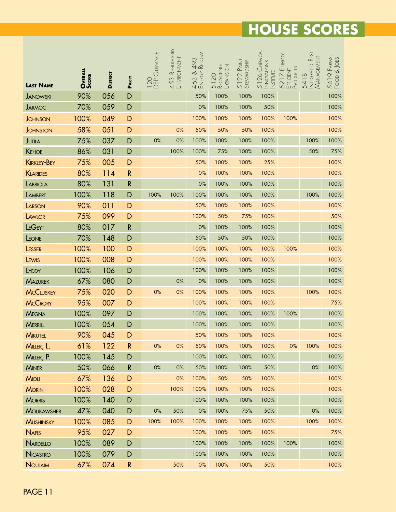|                    | <b>OVERALL</b><br><b>SCORE</b> |                 |              | 120<br>DEP GUIDANCE | 453 Reguatory<br>Environment | REFORM<br>493<br>463 & | $5120$<br>Recycling | 5122 PAINT<br>STEVVARDSHIP | 5126 CHEMICAL<br><b>INNOVATIONS</b><br><b>NSTITUTE</b> | ENERGY<br>5217 Eni<br>Efficient<br>Products | Integrated Pest<br>Management | 5419 Farms,<br>Food & Jobs |
|--------------------|--------------------------------|-----------------|--------------|---------------------|------------------------------|------------------------|---------------------|----------------------------|--------------------------------------------------------|---------------------------------------------|-------------------------------|----------------------------|
| <b>LAST NAME</b>   |                                | <b>DISTRICT</b> | PARTY        |                     |                              |                        |                     |                            |                                                        |                                             | 5418                          |                            |
| <b>JANOWSKI</b>    | 90%                            | 056             | D            |                     |                              | 50%                    | 100%                | 100%                       | 100%                                                   |                                             |                               | 100%                       |
| <b>JARMOC</b>      | 70%                            | 059             | D            |                     |                              | $0\%$                  | 100%                | 100%                       | 50%                                                    |                                             |                               | 100%                       |
| <b>JOHNSON</b>     | 100%                           | 049             | D            |                     |                              | 100%                   | 100%                | 100%                       | 100%                                                   | 100%                                        |                               | 100%                       |
| <b>JOHNSTON</b>    | 58%                            | 051             | D            |                     | 0%                           | 50%                    | 50%                 | 50%                        | 100%                                                   |                                             |                               | 100%                       |
| <b>JUTILA</b>      | 75%                            | 037             | D            | 0%                  | 0%                           | 100%                   | 100%                | 100%                       | 100%                                                   |                                             | 100%                          | 100%                       |
| <b>KEHOE</b>       | 86%                            | 031             | D            |                     | 100%                         | 100%                   | 75%                 | 100%                       | 100%                                                   |                                             | 50%                           | 75%                        |
| <b>KIRKLEY-BEY</b> | 75%                            | 005             | D            |                     |                              | 50%                    | 100%                | 100%                       | 25%                                                    |                                             |                               | 100%                       |
| <b>KLARIDES</b>    | 80%                            | 114             | $\mathsf{R}$ |                     |                              | 0%                     | 100%                | 100%                       | 100%                                                   |                                             |                               | 100%                       |
| LABRIOLA           | 80%                            | 131             | $\mathsf R$  |                     |                              | 0%                     | 100%                | 100%                       | 100%                                                   |                                             |                               | 100%                       |
| LAMBERT            | 100%                           | 118             | D            | 100%                | 100%                         | 100%                   | 100%                | 100%                       | 100%                                                   |                                             | 100%                          | 100%                       |
| LARSON             | 90%                            | 011             | D            |                     |                              | 50%                    | 100%                | 100%                       | 100%                                                   |                                             |                               | 100%                       |
| LAWLOR             | 75%                            | 099             | D            |                     |                              | 100%                   | 50%                 | 75%                        | 100%                                                   |                                             |                               | 50%                        |
| LEGEYT             | 80%                            | 017             | $\mathsf{R}$ |                     |                              | $0\%$                  | 100%                | 100%                       | 100%                                                   |                                             |                               | 100%                       |
| LEONE              | 70%                            | 148             | D            |                     |                              | 50%                    | 50%                 | 50%                        | 100%                                                   |                                             |                               | 100%                       |
| LESSER             | 100%                           | 100             | D            |                     |                              | 100%                   | 100%                | 100%                       | 100%                                                   | 100%                                        |                               | 100%                       |
| LEWIS              | 100%                           | 008             | D            |                     |                              | 100%                   | 100%                | 100%                       | 100%                                                   |                                             |                               | 100%                       |
| LYDDY              | 100%                           | 106             | D            |                     |                              | 100%                   | 100%                | 100%                       | 100%                                                   |                                             |                               | 100%                       |
| <b>MAZUREK</b>     | 67%                            | 080             | D            |                     | 0%                           | $0\%$                  | 100%                | 100%                       | 100%                                                   |                                             |                               | 100%                       |
| <b>MCCLUSKEY</b>   | 75%                            | 020             | D            | 0%                  | 0%                           | 100%                   | 100%                | 100%                       | 100%                                                   |                                             | 100%                          | 100%                       |
| <b>MCCRORY</b>     | 95%                            | 007             | D            |                     |                              | 100%                   | 100%                | 100%                       | 100%                                                   |                                             |                               | 75%                        |
| <b>MEGNA</b>       | 100%                           | 097             | D            |                     |                              | 100%                   | 100%                | 100%                       | 100%                                                   | 100%                                        |                               | 100%                       |
| <b>MERRILL</b>     | 100%                           | 054             | D            |                     |                              | 100%                   | 100%                | 100%                       | 100%                                                   |                                             |                               | 100%                       |
| <b>MIKUTEL</b>     | 90%                            | 045             | D            |                     |                              | 50%                    | 100%                | 100%                       | 100%                                                   |                                             |                               | 100%                       |
| MILLER, L.         | 61%                            | 122             | $\mathsf{R}$ | $0\%$               | 0%                           | 50%                    | 100%                | 100%                       | 100%                                                   | 0%                                          | 100%                          | 100%                       |
| MILLER, P.         | 100%                           | 145             | D            |                     |                              | 100%                   | 100%                | 100%                       | 100%                                                   |                                             |                               | 100%                       |
| <b>MINER</b>       | 50%                            | 066             | $\mathsf{R}$ | $0\%$               | $0\%$                        | 50%                    | 100%                | 100%                       | 50%                                                    |                                             | 0%                            | 100%                       |
| <b>MIOLI</b>       | 67%                            | 136             | D            |                     | $0\%$                        | 100%                   | 50%                 | 50%                        | 100%                                                   |                                             |                               | 100%                       |
| <b>MORIN</b>       | 100%                           | 028             | D            |                     | 100%                         | 100%                   | 100%                | 100%                       | 100%                                                   |                                             |                               | 100%                       |
| <b>MORRIS</b>      | 100%                           | 140             | D            |                     |                              | 100%                   | 100%                | 100%                       | 100%                                                   |                                             |                               | 100%                       |
| <b>MOUKAWSHER</b>  | 47%                            | 040             | D            | $0\%$               | 50%                          | $0\%$                  | 100%                | 75%                        | 50%                                                    |                                             | 0%                            | 100%                       |
| <b>MUSHINSKY</b>   | 100%                           | 085             | D            | 100%                | 100%                         | 100%                   | 100%                | 100%                       | 100%                                                   |                                             | 100%                          | 100%                       |
| <b>NAFIS</b>       | 95%                            | 027             | D            |                     |                              | 100%                   | 100%                | 100%                       | 100%                                                   |                                             |                               | 75%                        |
| NARDELLO           | 100%                           | 089             | D            |                     |                              | 100%                   | 100%                | 100%                       | 100%                                                   | 100%                                        |                               | 100%                       |
| <b>NICASTRO</b>    | 100%                           | 079             | D            |                     |                              | 100%                   | 100%                | 100%                       | 100%                                                   |                                             |                               | 100%                       |
| <b>NOUJAIM</b>     | 67%                            | 074             | $\mathsf{R}$ |                     | 50%                          | 0%                     | 100%                | 100%                       | 50%                                                    |                                             |                               | 100%                       |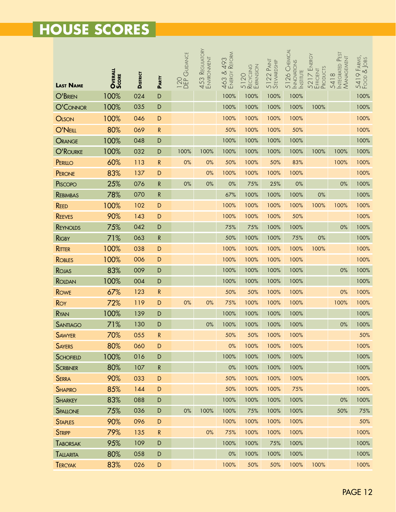|                             | OVERALL<br>SCORE | <b>DISTRICT</b> | PARTY       | GUIDANCE<br><b>120</b> | 453 Reguatory<br>Environment | REFORM<br>493<br>463 & | 5120<br>Recycling<br>Expansion | 5122 PAINT<br>STEVVARDSHIP | 5126 CHEMICAL<br><b>INNOVATIONS</b><br><b>INSTITUTE</b> | ENERGY<br>5217 Eni<br>Efficient<br>Products | Integrated Pest<br>Management<br>5418 | 5419 Farms,<br>Food & Jobs |
|-----------------------------|------------------|-----------------|-------------|------------------------|------------------------------|------------------------|--------------------------------|----------------------------|---------------------------------------------------------|---------------------------------------------|---------------------------------------|----------------------------|
| <b>LAST NAME</b><br>O'BRIEN | 100%             | 024             | D           |                        |                              | 100%                   | 100%                           | 100%                       | 100%                                                    |                                             |                                       | 100%                       |
| O'CONNOR                    | 100%             | 035             | $\mathsf D$ |                        |                              | 100%                   | 100%                           | 100%                       | 100%                                                    | 100%                                        |                                       | 100%                       |
| <b>OLSON</b>                | 100%             | 046             | $\mathsf D$ |                        |                              | 100%                   | 100%                           | 100%                       | 100%                                                    |                                             |                                       | 100%                       |
| O'NEILL                     | 80%              | 069             | ${\sf R}$   |                        |                              | 50%                    | 100%                           | 100%                       | 50%                                                     |                                             |                                       | 100%                       |
| ORANGE                      | 100%             | 048             | D           |                        |                              | 100%                   | 100%                           | 100%                       | 100%                                                    |                                             |                                       | 100%                       |
| O'ROURKE                    | 100%             | 032             | D           | 100%                   | 100%                         | 100%                   | 100%                           | 100%                       | 100%                                                    | 100%                                        | 100%                                  | 100%                       |
| PERILLO                     | 60%              | 113             | ${\sf R}$   | 0%                     | 0%                           | 50%                    | 100%                           | 50%                        | 83%                                                     |                                             | 100%                                  | 100%                       |
| PERONE                      | 83%              | 137             | D           |                        | 0%                           | 100%                   | 100%                           | 100%                       | 100%                                                    |                                             |                                       | 100%                       |
| PISCOPO                     | 25%              | 076             | ${\sf R}$   | 0%                     | $0\%$                        | $0\%$                  | 75%                            | 25%                        | $0\%$                                                   |                                             | 0%                                    | 100%                       |
| <b>REBIMBAS</b>             | 78%              | 070             | ${\sf R}$   |                        |                              | 67%                    | 100%                           | 100%                       | 100%                                                    | 0%                                          |                                       | 100%                       |
| <b>REED</b>                 | 100%             | 102             | $\mathsf D$ |                        |                              | 100%                   | 100%                           | 100%                       | 100%                                                    | 100%                                        | 100%                                  | 100%                       |
| <b>REEVES</b>               | 90%              | 143             | D           |                        |                              | 100%                   | 100%                           | 100%                       | 50%                                                     |                                             |                                       | 100%                       |
| <b>REYNOLDS</b>             | 75%              | 042             | D           |                        |                              | 75%                    | 75%                            | 100%                       | 100%                                                    |                                             | 0%                                    | 100%                       |
| <b>RIGBY</b>                | 71%              | 063             | ${\sf R}$   |                        |                              | 50%                    | 100%                           | 100%                       | 75%                                                     | 0%                                          |                                       | 100%                       |
| <b>RITTER</b>               | 100%             | 038             | D           |                        |                              | 100%                   | 100%                           | 100%                       | 100%                                                    | 100%                                        |                                       | 100%                       |
| <b>ROBLES</b>               | 100%             | 006             | D           |                        |                              | 100%                   | 100%                           | 100%                       | 100%                                                    |                                             |                                       | 100%                       |
| ROJAS                       | 83%              | 009             | D           |                        |                              | 100%                   | 100%                           | 100%                       | 100%                                                    |                                             | 0%                                    | 100%                       |
| ROLDAN                      | 100%             | 004             | $\mathsf D$ |                        |                              | 100%                   | 100%                           | 100%                       | 100%                                                    |                                             |                                       | 100%                       |
| <b>ROWE</b>                 | 67%              | 123             | ${\sf R}$   |                        |                              | 50%                    | 50%                            | 100%                       | 100%                                                    |                                             | 0%                                    | 100%                       |
| Roy                         | 72%              | 119             | D           | 0%                     | 0%                           | 75%                    | 100%                           | 100%                       | 100%                                                    |                                             | 100%                                  | 100%                       |
| RYAN                        | 100%             | 139             | D           |                        |                              | 100%                   | 100%                           | 100%                       | 100%                                                    |                                             |                                       | 100%                       |
| <b>SANTIAGO</b>             | 71%              | 130             | D           |                        | $0\%$                        | 100%                   | 100%                           | 100%                       | 100%                                                    |                                             | 0%                                    | 100%                       |
| <b>SAWYER</b>               | 70%              | 055             | ${\sf R}$   |                        |                              | 50%                    | 50%                            | 100%                       | 100%                                                    |                                             |                                       | 50%                        |
| <b>SAYERS</b>               | 80%              | 060             | D           |                        |                              | 0%                     | 100%                           | 100%                       | 100%                                                    |                                             |                                       | 100%                       |
| <b>SCHOFIELD</b>            | 100%             | 016             | D           |                        |                              | 100%                   | 100%                           | 100%                       | 100%                                                    |                                             |                                       | 100%                       |
| <b>SCRIBNER</b>             | 80%              | 107             | ${\sf R}$   |                        |                              | $0\%$                  | 100%                           | 100%                       | 100%                                                    |                                             |                                       | 100%                       |
| <b>SERRA</b>                | 90%              | 033             | $\mathsf D$ |                        |                              | 50%                    | 100%                           | 100%                       | 100%                                                    |                                             |                                       | 100%                       |
| <b>SHAPIRO</b>              | 85%              | 144             | D           |                        |                              | 50%                    | 100%                           | 100%                       | 75%                                                     |                                             |                                       | 100%                       |
| <b>SHARKEY</b>              | 83%              | 088             | D           |                        |                              | 100%                   | 100%                           | 100%                       | 100%                                                    |                                             | $0\%$                                 | 100%                       |
| SPALLONE                    | 75%              | 036             | D           | $0\%$                  | 100%                         | 100%                   | 75%                            | 100%                       | 100%                                                    |                                             | 50%                                   | 75%                        |
| <b>STAPLES</b>              | 90%              | 096             | $\mathsf D$ |                        |                              | 100%                   | 100%                           | 100%                       | 100%                                                    |                                             |                                       | 50%                        |
| <b>STRIPP</b>               | 79%              | 135             | ${\sf R}$   |                        | 0%                           | 75%                    | 100%                           | 100%                       | 100%                                                    |                                             |                                       | 100%                       |
| <b>TABORSAK</b>             | 95%              | 109             | D           |                        |                              | 100%                   | 100%                           | 75%                        | 100%                                                    |                                             |                                       | 100%                       |
| TALLARITA                   | 80%              | 058             | D           |                        |                              | $0\%$                  | 100%                           | 100%                       | 100%                                                    |                                             |                                       | 100%                       |
| <b>TERCYAK</b>              | 83%              | 026             | D           |                        |                              | 100%                   | 50%                            | 50%                        | 100%                                                    | 100%                                        |                                       | 100%                       |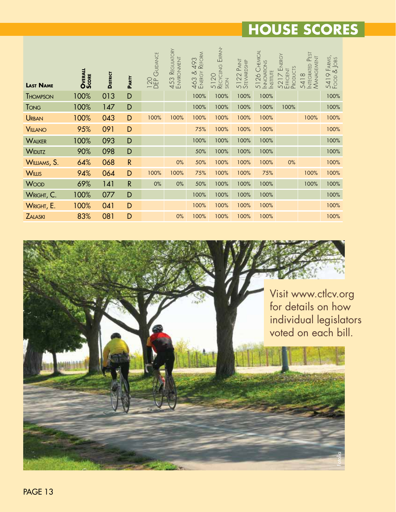| <b>LAST NAME</b> | OVERALL<br>SCORE | <b>DISTRICT</b> | PARTY<br>D   | 120<br>DEP GUIDANCE | REGULATORY<br>453 Regulato | REFORM<br>493<br>$\propto$<br>ENERGY<br>463 | EXPAN-<br>RECYCLING<br>5120<br>SION | PAINT<br>5122 PAINT<br>STEWARDSHIP | CHEMICAL<br>NNOWATONS<br>NSTTUTE<br>26 <sub>1</sub><br>51 | ENERGY<br>PRODUCTS<br>EFFICIENT<br>5217 | INTEGRATED PEST<br>MANAGEMENT<br>$\infty$<br>541 | P FARMS,<br>& JOBS<br>5419<br>Food 8 |
|------------------|------------------|-----------------|--------------|---------------------|----------------------------|---------------------------------------------|-------------------------------------|------------------------------------|-----------------------------------------------------------|-----------------------------------------|--------------------------------------------------|--------------------------------------|
| <b>THOMPSON</b>  | 100%             | 013             |              |                     |                            | 100%                                        | 100%                                | 100%                               | 100%<br>100%                                              |                                         |                                                  | 100%                                 |
| <b>TONG</b>      | 100%             | 147             | D            |                     |                            | 100%                                        | 100%                                | 100%                               |                                                           | 100%                                    |                                                  | 100%                                 |
| <b>URBAN</b>     | 100%             | 043             | D            | 100%                | 100%                       | 100%                                        | 100%                                | 100%                               | 100%                                                      |                                         | 100%                                             | 100%                                 |
| <b>VILLANO</b>   | 95%              | 091             | D            |                     |                            | 75%                                         | 100%                                | 100%                               | 100%                                                      |                                         |                                                  | 100%                                 |
| <b>WALKER</b>    | 100%             | 093             | D            |                     |                            | 100%                                        | 100%                                | 100%                               | 100%                                                      |                                         |                                                  | 100%                                 |
| <b>WIDLITZ</b>   | 90%              | 098             | D            |                     |                            | 50%                                         | 100%                                | 100%                               | 100%                                                      |                                         |                                                  | 100%                                 |
| WILLIAMS, S.     | 64%              | 068             | $\mathsf{R}$ |                     | 0%                         | 50%                                         | 100%                                | 100%                               | 100%                                                      | 0%                                      |                                                  | 100%                                 |
| <b>WILLIS</b>    | 94%              | 064             | D            | 100%                | 100%                       | 75%                                         | 100%                                | 100%                               | 75%                                                       |                                         | 100%                                             | 100%                                 |
| <b>WOOD</b>      | 69%              | 141             | $\mathsf{R}$ | $0\%$               | $0\%$                      | 50%                                         | 100%                                | 100%                               | 100%                                                      |                                         | 100%                                             | 100%                                 |
| WRIGHT, C.       | 100%             | 077             | D            |                     |                            | 100%                                        | 100%                                | 100%                               | 100%                                                      |                                         |                                                  | 100%                                 |
| WRIGHT, E.       | 100%             | 041             | D            |                     |                            | 100%                                        | 100%                                | 100%                               | 100%                                                      |                                         |                                                  | 100%                                 |
| <b>ZALASKI</b>   | 83%              | 081             | D            |                     | 0%                         | 100%                                        | 100%                                | 100%                               | 100%                                                      |                                         |                                                  | 100%                                 |

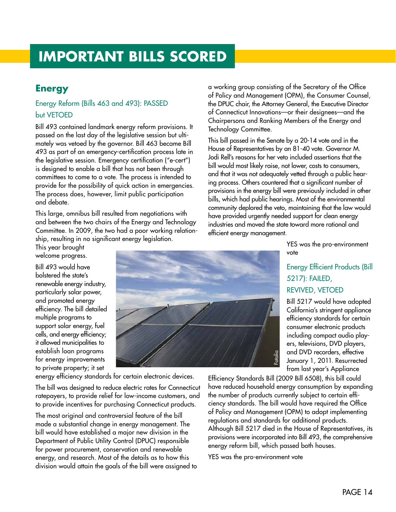# **IMPORTANT BILLS SCORED**

### **Energy**

### Energy Reform (Bills 463 and 493): PASSED but VETOED

Bill 493 contained landmark energy reform provisions. It passed on the last day of the legislative session but ultimately was vetoed by the governor. Bill 463 became Bill 493 as part of an emergency-certification process late in the legislative session. Emergency certification ("e-cert") is designed to enable a bill that has not been through committees to come to a vote. The process is intended to provide for the possibility of quick action in emergencies. The process does, however, limit public participation and debate.

This large, omnibus bill resulted from negotiations with and between the two chairs of the Energy and Technology Committee. In 2009, the two had a poor working relationship, resulting in no significant energy legislation.

This year brought welcome progress.

Bill 493 would have bolstered the state's renewable energy industry, particularly solar power, and promoted energy efficiency. The bill detailed multiple programs to support solar energy, fuel cells, and energy efficiency; it allowed municipalities to establish loan programs for energy improvements to private property; it set



energy efficiency standards for certain electronic devices.

The bill was designed to reduce electric rates for Connecticut ratepayers, to provide relief for low-income customers, and to provide incentives for purchasing Connecticut products.

The most original and controversial feature of the bill made a substantial change in energy management. The bill would have established a major new division in the Department of Public Utility Control (DPUC) responsible for power procurement, conservation and renewable energy, and research. Most of the details as to how this division would attain the goals of the bill were assigned to a working group consisting of the Secretary of the Office of Policy and Management (OPM), the Consumer Counsel, the DPUC chair, the Attorney General, the Executive Director of Connecticut Innovations—or their designees—and the Chairpersons and Ranking Members of the Energy and Technology Committee.

This bill passed in the Senate by a 20-14 vote and in the House of Representatives by an 81-40 vote. Governor M. Jodi Rell's reasons for her veto included assertions that the bill would most likely raise, not lower, costs to consumers, and that it was not adequately vetted through a public hearing process. Others countered that a significant number of provisions in the energy bill were previously included in other bills, which had public hearings. Most of the environmental community deplored the veto, maintaining that the law would have provided urgently needed support for clean energy industries and moved the state toward more rational and efficient energy management.

> YES was the pro-environment vote

### Energy Efficient Products (Bill 5217): FAILED, REVIVED, VETOED

Bill 5217 would have adopted California's stringent appliance efficiency standards for certain consumer electronic products including compact audio players, televisions, DVD players, and DVD recorders, effective January 1, 2011. Resurrected from last year's Appliance

Efficiency Standards Bill (2009 Bill 6508), this bill could have reduced household energy consumption by expanding the number of products currently subject to certain efficiency standards. The bill would have required the Office of Policy and Management (OPM) to adopt implementing regulations and standards for additional products. Although Bill 5217 died in the House of Representatives, its provisions were incorporated into Bill 493, the comprehensive energy reform bill, which passed both houses.

YES was the pro-environment vote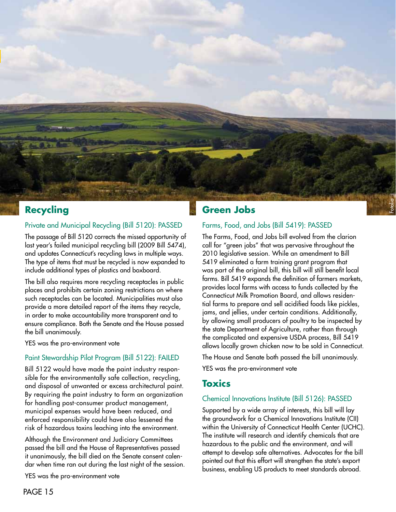

### **Recycling**

#### Private and Municipal Recycling (Bill 5120): PASSED

The passage of Bill 5120 corrects the missed opportunity of last year's failed municipal recycling bill (2009 Bill 5474), and updates Connecticut's recycling laws in multiple ways. The type of items that must be recycled is now expanded to include additional types of plastics and boxboard.

The bill also requires more recycling receptacles in public places and prohibits certain zoning restrictions on where such receptacles can be located. Municipalities must also provide a more detailed report of the items they recycle, in order to make accountability more transparent and to ensure compliance. Both the Senate and the House passed the bill unanimously.

YES was the pro-environment vote

#### Paint Stewardship Pilot Program (Bill 5122): FAILED

Bill 5122 would have made the paint industry responsible for the environmentally safe collection, recycling, and disposal of unwanted or excess architectural paint. By requiring the paint industry to form an organization for handling post-consumer product management, municipal expenses would have been reduced, and enforced responsibility could have also lessened the risk of hazardous toxins leaching into the environment.

Although the Environment and Judiciary Committees passed the bill and the House of Representatives passed it unanimously, the bill died on the Senate consent calendar when time ran out during the last night of the session.

YES was the pro-environment vote

### **Green Jobs**

### Farms, Food, and Jobs (Bill 5419): PASSED

The Farms, Food, and Jobs bill evolved from the clarion call for "green jobs" that was pervasive throughout the 2010 legislative session. While an amendment to Bill 5419 eliminated a farm training grant program that was part of the original bill, this bill will still benefit local farms. Bill 5419 expands the definition of farmers markets, provides local farms with access to funds collected by the Connecticut Milk Promotion Board, and allows residential farms to prepare and sell acidified foods like pickles, jams, and jellies, under certain conditions. Additionally, by allowing small producers of poultry to be inspected by the state Department of Agriculture, rather than through the complicated and expensive USDA process, Bill 5419 allows locally grown chicken now to be sold in Connecticut.

The House and Senate both passed the bill unanimously. YES was the pro-environment vote

### **Toxics**

### Chemical Innovations Institute (Bill 5126): PASSED

Supported by a wide array of interests, this bill will lay the groundwork for a Chemical Innovations Institute (CII) within the University of Connecticut Health Center (UCHC). The institute will research and identify chemicals that are hazardous to the public and the environment, and will attempt to develop safe alternatives. Advocates for the bill pointed out that this effort will strengthen the state's export business, enabling US products to meet standards abroad.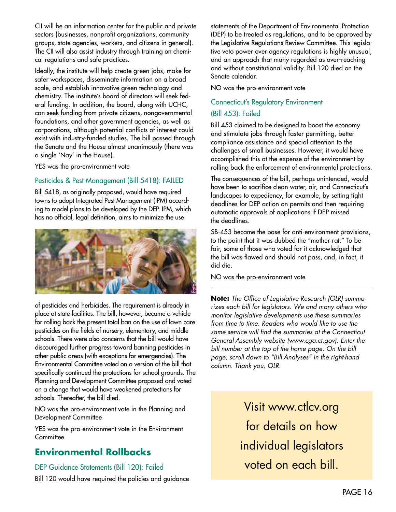CII will be an information center for the public and private sectors (businesses, nonprofit organizations, community groups, state agencies, workers, and citizens in general). The CII will also assist industry through training on chemical regulations and safe practices.

Ideally, the institute will help create green jobs, make for safer workspaces, disseminate information on a broad scale, and establish innovative green technology and chemistry. The institute's board of directors will seek federal funding. In addition, the board, along with UCHC, can seek funding from private citizens, nongovernmental foundations, and other government agencies, as well as corporations, although potential conflicts of interest could exist with industry-funded studies. The bill passed through the Senate and the House almost unanimously (there was a single 'Nay' in the House).

YES was the pro-environment vote

#### Pesticides & Pest Management (Bill 5418): FAILED

Bill 5418, as originally proposed, would have required towns to adopt Integrated Pest Management (IPM) according to model plans to be developed by the DEP. IPM, which has no official, legal definition, aims to minimize the use



of pesticides and herbicides. The requirement is already in place at state facilities. The bill, however, became a vehicle for rolling back the present total ban on the use of lawn care pesticides on the fields of nursery, elementary, and middle schools. There were also concerns that the bill would have discouraged further progress toward banning pesticides in other public areas (with exceptions for emergencies). The Environmental Committee voted on a version of the bill that specifically continued the protections for school grounds. The Planning and Development Committee proposed and voted on a change that would have weakened protections for schools. Thereafter, the bill died.

NO was the pro-environment vote in the Planning and Development Committee

YES was the pro-environment vote in the Environment **Committee** 

### **Environmental Rollbacks**

#### DEP Guidance Statements (Bill 120): Failed

Bill 120 would have required the policies and guidance

statements of the Department of Environmental Protection (DEP) to be treated as regulations, and to be approved by the Legislative Regulations Review Committee. This legislative veto power over agency regulations is highly unusual, and an approach that many regarded as over-reaching and without constitutional validity. Bill 120 died on the Senate calendar.

NO was the pro-environment vote

### Connecticut's Regulatory Environment (Bill 453): Failed

Bill 453 claimed to be designed to boost the economy and stimulate jobs through faster permitting, better compliance assistance and special attention to the challenges of small businesses. However, it would have accomplished this at the expense of the environment by rolling back the enforcement of environmental protections.

The consequences of the bill, perhaps unintended, would have been to sacrifice clean water, air, and Connecticut's landscapes to expediency, for example, by setting tight deadlines for DEP action on permits and then requiring automatic approvals of applications if DEP missed the deadlines.

SB-453 became the base for anti-environment provisions, to the point that it was dubbed the "mother rat." To be fair, some of those who voted for it acknowledged that the bill was flawed and should not pass, and, in fact, it did die.

NO was the pro-environment vote

**Note:** *The Office of Legislative Research (OLR) summarizes each bill for legislators. We and many others who monitor legislative developments use these summaries from time to time. Readers who would like to use the same service will find the summaries at the Connecticut General Assembly website (www.cga.ct.gov). Enter the bill number at the top of the home page. On the bill page, scroll down to "Bill Analyses" in the right-hand column. Thank you, OLR.*

> Visit www.ctlcv.org for details on how individual legislators voted on each bill.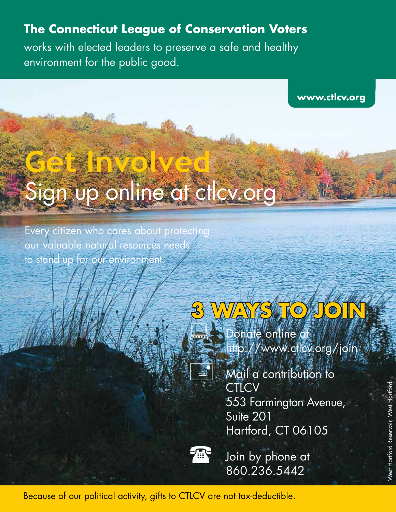# **The Connecticut League of Conservation Voters**

works with elected leaders to preserve a safe and healthy environment for the public good.

**www.ctlcv.org**

# Sign up online at ctlcv.org

Every citizen who cares about protecting our valuable natural resources needs to stand up for our environment.

**Get Involved**



# **3 WAYS TO JOIN** Donate online at http://www.ctlcv.org/join

Mail a contribution to **CTLCV**  553 Farmington Avenue, Suite 201 Hartford, CT 06105



Soin by phone at 860.236.5442

Because of our political activity, gifts to CTLCV are not tax-deductible.